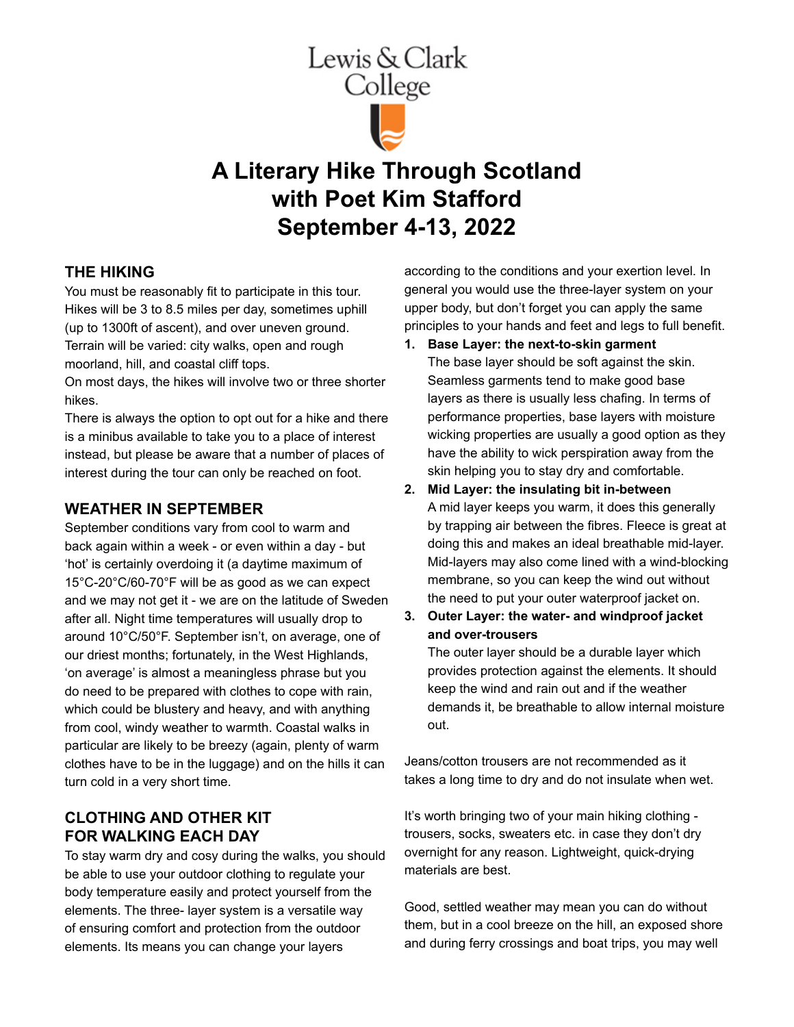# Lewis & Clark College

# **A Literary Hike Through Scotland with Poet Kim Stafford September 4-13, 2022**

# **THE HIKING**

You must be reasonably fit to participate in this tour. Hikes will be 3 to 8.5 miles per day, sometimes uphill (up to 1300ft of ascent), and over uneven ground. Terrain will be varied: city walks, open and rough moorland, hill, and coastal cliff tops.

On most days, the hikes will involve two or three shorter hikes.

There is always the option to opt out for a hike and there is a minibus available to take you to a place of interest instead, but please be aware that a number of places of interest during the tour can only be reached on foot.

#### **WEATHER IN SEPTEMBER**

September conditions vary from cool to warm and back again within a week - or even within a day - but 'hot' is certainly overdoing it (a daytime maximum of 15°C-20°C/60-70°F will be as good as we can expect and we may not get it - we are on the latitude of Sweden after all. Night time temperatures will usually drop to around 10°C/50°F. September isn't, on average, one of our driest months; fortunately, in the West Highlands, 'on average' is almost a meaningless phrase but you do need to be prepared with clothes to cope with rain, which could be blustery and heavy, and with anything from cool, windy weather to warmth. Coastal walks in particular are likely to be breezy (again, plenty of warm clothes have to be in the luggage) and on the hills it can turn cold in a very short time.

# **CLOTHING AND OTHER KIT FOR WALKING EACH DAY**

To stay warm dry and cosy during the walks, you should be able to use your outdoor clothing to regulate your body temperature easily and protect yourself from the elements. The three- layer system is a versatile way of ensuring comfort and protection from the outdoor elements. Its means you can change your layers

according to the conditions and your exertion level. In general you would use the three-layer system on your upper body, but don't forget you can apply the same principles to your hands and feet and legs to full benefit.

- **1. Base Layer: the next-to-skin garment** The base layer should be soft against the skin. Seamless garments tend to make good base layers as there is usually less chafing. In terms of performance properties, base layers with moisture wicking properties are usually a good option as they have the ability to wick perspiration away from the skin helping you to stay dry and comfortable.
- **2. Mid Layer: the insulating bit in-between** A mid layer keeps you warm, it does this generally by trapping air between the fibres. Fleece is great at doing this and makes an ideal breathable mid-layer. Mid-layers may also come lined with a wind-blocking membrane, so you can keep the wind out without the need to put your outer waterproof jacket on.
- **3. Outer Layer: the water- and windproof jacket and over-trousers**

The outer layer should be a durable layer which provides protection against the elements. It should keep the wind and rain out and if the weather demands it, be breathable to allow internal moisture out.

Jeans/cotton trousers are not recommended as it takes a long time to dry and do not insulate when wet.

It's worth bringing two of your main hiking clothing trousers, socks, sweaters etc. in case they don't dry overnight for any reason. Lightweight, quick-drying materials are best.

Good, settled weather may mean you can do without them, but in a cool breeze on the hill, an exposed shore and during ferry crossings and boat trips, you may well